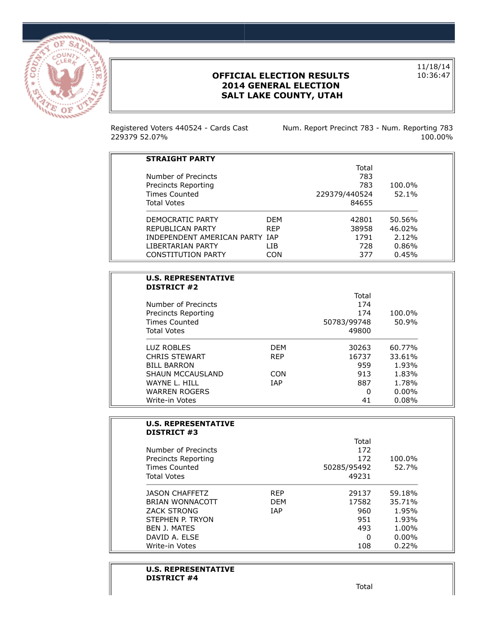

## **OFFICIAL ELECTION RESULTS 2014 GENERAL ELECTION SALT LAKE COUNTY, UTAH**

11/18/14 10:36:47

Registered Voters 440524 - Cards Cast 229379 52.07%

Num. Report Precinct 783 - Num. Reporting 783 100.00%

| <b>STRAIGHT PARTY</b>          |            |               |           |
|--------------------------------|------------|---------------|-----------|
|                                |            | Total         |           |
| Number of Precincts            |            | 783           |           |
| Precincts Reporting            |            | 783           | $100.0\%$ |
| Times Counted                  |            | 229379/440524 | 52.1%     |
| <b>Total Votes</b>             |            | 84655         |           |
| DEMOCRATIC PARTY               | <b>DFM</b> | 42801         | 50.56%    |
| REPUBLICAN PARTY               | <b>RFP</b> | 38958         | $46.02\%$ |
| INDEPENDENT AMERICAN PARTY IAP |            | 1791          | 2.12%     |
| I IBERTARIAN PARTY             | I TB       | 728           | 0.86%     |
| <b>CONSTITUTION PARTY</b>      | CON        | 377           | 0.45%     |
|                                |            |               |           |

| <b>U.S. REPRESENTATIVE</b><br><b>DISTRICT #2</b> |            |             |          |
|--------------------------------------------------|------------|-------------|----------|
|                                                  |            | Total       |          |
| Number of Precincts                              |            | 174         |          |
| Precincts Reporting                              |            | 174         | 100.0%   |
| <b>Times Counted</b>                             |            | 50783/99748 | 50.9%    |
| <b>Total Votes</b>                               |            | 49800       |          |
| LUZ ROBLES                                       | <b>DFM</b> | 30263       | 60.77%   |
| <b>CHRIS STEWART</b>                             | <b>RFP</b> | 16737       | 33.61%   |
| <b>BILL BARRON</b>                               |            | 959         | 1.93%    |
| <b>SHAUN MCCAUSLAND</b>                          | CON        | 913         | 1.83%    |
| WAYNE L. HILL                                    | <b>TAP</b> | 887         | 1.78%    |
| <b>WARREN ROGERS</b>                             |            | ŋ           | $0.00\%$ |
| Write-in Votes                                   |            | 41          | 0.08%    |

| <b>U.S. REPRESENTATIVE</b><br><b>DISTRICT #3</b> |            |             |          |
|--------------------------------------------------|------------|-------------|----------|
|                                                  |            | Total       |          |
| Number of Precincts                              |            | 172         |          |
| Precincts Reporting                              |            | 172         | 100.0%   |
| Times Counted                                    |            | 50285/95492 | 52.7%    |
| <b>Total Votes</b>                               |            | 49231       |          |
| <b>JASON CHAFFETZ</b>                            | <b>RFP</b> | 29137       | 59.18%   |
| BRIAN WONNACOTT                                  | <b>DFM</b> | 17582       | 35.71%   |
| <b>ZACK STRONG</b>                               | <b>TAP</b> | 960         | 1.95%    |
| STEPHEN P. TRYON                                 |            | 951         | 1.93%    |
| <b>BEN J. MATES</b>                              |            | 493         | 1.00%    |
| DAVID A. ELSE                                    |            | 0           | $0.00\%$ |
| Write-in Votes                                   |            | 108         | 0.22%    |

### **U.S. REPRESENTATIVE DISTRICT #4**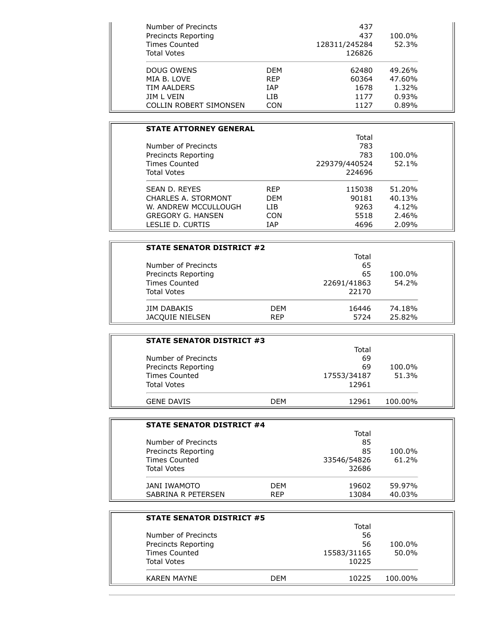| Number of Precincts<br>Precincts Reporting |            | 437<br>437              | 100.0% |
|--------------------------------------------|------------|-------------------------|--------|
| Times Counted<br>Total Votes               |            | 128311/245284<br>126826 | 52.3%  |
| DOUG OWENS                                 | <b>DFM</b> | 62480                   | 49.26% |
| MIA B. LOVE                                | <b>RFP</b> | 60364                   | 47.60% |
| TIM AALDERS                                | <b>IAP</b> | 1678                    | 1.32%  |
| JIM L VEIN                                 | I TB       | 1177                    | 0.93%  |
| COLLIN ROBERT SIMONSEN                     | CON        | 1127                    | 0.89%  |

## **STATE ATTORNEY GENERAL** Total Number of Precincts 783 Precincts Reporting 783 100.0% Times Counted 229379/440524 52.1% Total Votes 224696 SEAN D. REYES REP 115038 51.20% CHARLES A. STORMONT DEM 90181 40.13% W. ANDREW MCCULLOUGH LIB 9263 4.12% GREGORY G. HANSEN CON 5518 2.46% LESLIE D. CURTIS IAP 4696 2.09%

|                    | <b>STATE SENATOR DISTRICT #2</b> |            |             |        |
|--------------------|----------------------------------|------------|-------------|--------|
|                    |                                  |            | Total       |        |
|                    | Number of Precincts              |            | 65          |        |
|                    | Precincts Reporting              |            | 65          | 100.0% |
|                    | <b>Times Counted</b>             |            | 22691/41863 | 54.2%  |
| <b>Total Votes</b> |                                  |            | 22170       |        |
| <b>JIM DABAKIS</b> |                                  | <b>DFM</b> | 16446       | 74.18% |
|                    | <b>JACQUIE NIELSEN</b>           | <b>RFP</b> | 5724        | 25.82% |

| <b>STATE SENATOR DISTRICT #3</b> |     |             |         |  |
|----------------------------------|-----|-------------|---------|--|
|                                  |     | Total       |         |  |
| Number of Precincts              |     | 69          |         |  |
| Precincts Reporting              |     | 69          | 100.0%  |  |
| <b>Times Counted</b>             |     | 17553/34187 | 51.3%   |  |
| <b>Total Votes</b>               |     | 12961       |         |  |
| <b>GENE DAVIS</b>                | DFM | 12961       | 100.00% |  |

| <b>STATE SENATOR DISTRICT #4</b> |            |             |        |
|----------------------------------|------------|-------------|--------|
|                                  |            | Total       |        |
| Number of Precincts              |            | 85          |        |
| Precincts Reporting              |            | 85          | 100.0% |
| <b>Times Counted</b>             |            | 33546/54826 | 61.2%  |
| <b>Total Votes</b>               |            | 32686       |        |
| JANI IWAMOTO                     | <b>DFM</b> | 19602       | 59.97% |
| SABRINA R PETERSEN               | <b>RFP</b> | 13084       | 40.03% |

| <b>STATE SENATOR DISTRICT #5</b> |            |             |         |  |
|----------------------------------|------------|-------------|---------|--|
|                                  |            | Total       |         |  |
| Number of Precincts              |            | 56          |         |  |
| Precincts Reporting              |            | 56          | 100.0%  |  |
| <b>Times Counted</b>             |            | 15583/31165 | 50.0%   |  |
| <b>Total Votes</b>               |            | 10225       |         |  |
| <b>KAREN MAYNE</b>               | <b>DFM</b> | 10225       | 100.00% |  |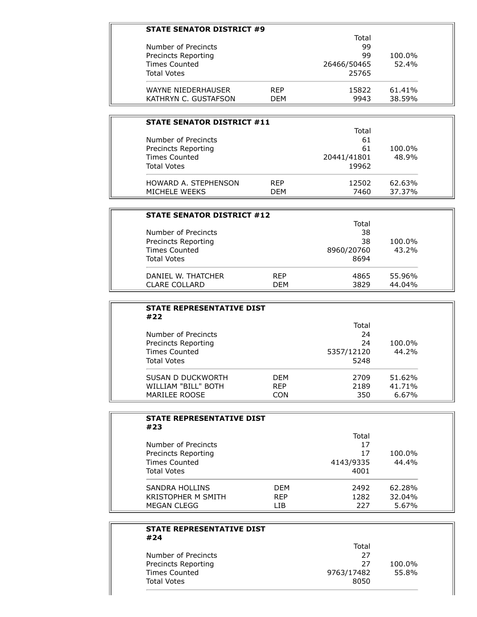| <b>STATE SENATOR DISTRICT #9</b> |            |             |        |
|----------------------------------|------------|-------------|--------|
|                                  |            | Total       |        |
| Number of Precincts              |            | 99          |        |
| Precincts Reporting              |            | 99          | 100.0% |
| <b>Times Counted</b>             |            | 26466/50465 | 52.4%  |
| <b>Total Votes</b>               |            | 25765       |        |
| WAYNE NIEDERHAUSER               | <b>RFP</b> | 15822       | 61.41% |
| KATHRYN C. GUSTAFSON             | DFM        | 9943        | 38.59% |

| <b>STATE SENATOR DISTRICT #11</b> |            |             |        |
|-----------------------------------|------------|-------------|--------|
|                                   |            | Total       |        |
| Number of Precincts               |            | 61          |        |
| Precincts Reporting               |            | 61          | 100.0% |
| <b>Times Counted</b>              |            | 20441/41801 | 48.9%  |
| <b>Total Votes</b>                |            | 19962       |        |
| HOWARD A. STEPHENSON              | <b>RFP</b> | 12502       | 62.63% |
| MICHELE WEEKS                     | <b>DEM</b> | 7460        | 37.37% |

| <b>STATE SENATOR DISTRICT #12</b> |            |            |        |
|-----------------------------------|------------|------------|--------|
|                                   |            | Total      |        |
| Number of Precincts               |            | 38         |        |
| Precincts Reporting               |            | 38         | 100.0% |
| Times Counted                     |            | 8960/20760 | 43.2%  |
| <b>Total Votes</b>                |            | 8694       |        |
| DANIEL W. THATCHER                | <b>RFP</b> | 4865       | 55.96% |
| <b>CLARE COLLARD</b>              | <b>DEM</b> | 3829       | 44.04% |

| <b>STATE REPRESENTATIVE DIST</b><br>#22 |            |            |        |
|-----------------------------------------|------------|------------|--------|
|                                         |            | Total      |        |
| Number of Precincts                     |            | 24         |        |
| Precincts Reporting                     |            | 24         | 100.0% |
| <b>Times Counted</b>                    |            | 5357/12120 | 44.2%  |
| <b>Total Votes</b>                      |            | 5248       |        |
| SUSAN D DUCKWORTH                       | <b>DFM</b> | 2709       | 51.62% |
| <b>WILLIAM "BILL" BOTH</b>              | <b>REP</b> | 2189       | 41.71% |
| MARILEE ROOSE                           | CON.       | 350        | 6.67%  |

| <b>STATE REPRESENTATIVE DIST</b><br>#23 |            |           |        |
|-----------------------------------------|------------|-----------|--------|
|                                         |            | Total     |        |
| Number of Precincts                     |            | 17        |        |
| Precincts Reporting                     |            | 17        | 100.0% |
| <b>Times Counted</b>                    |            | 4143/9335 | 44.4%  |
| <b>Total Votes</b>                      |            | 4001      |        |
| <b>SANDRA HOLLINS</b>                   | <b>DFM</b> | 2492      | 62.28% |
| <b>KRISTOPHER M SMITH</b>               | <b>RFP</b> | 1282      | 32.04% |
| <b>MEGAN CLEGG</b>                      | I TB       | 227       | 5.67%  |

| <b>STATE REPRESENTATIVE DIST</b><br>#24 |            |        |
|-----------------------------------------|------------|--------|
|                                         | Total      |        |
| Number of Precincts                     | 27         |        |
| Precincts Reporting                     | 27         | 100.0% |
| <b>Times Counted</b>                    | 9763/17482 | 55.8%  |
| <b>Total Votes</b>                      | 8050       |        |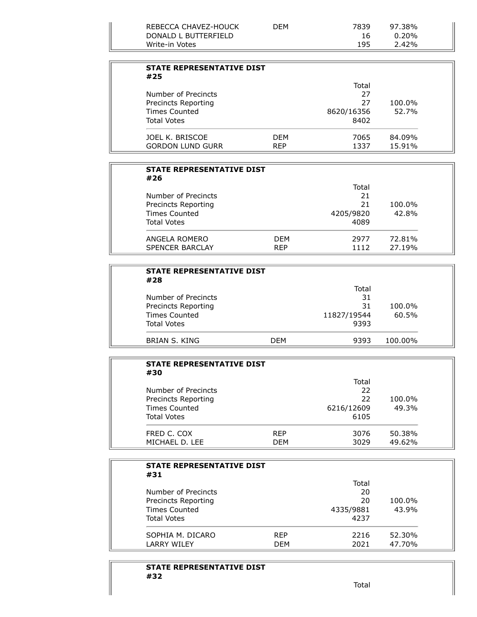| REBECCA CHAVEZ-HOUCK<br>DONALD L BUTTERFIELD | ገFM | 7839<br>16 | 97.38%<br>$0.20\%$ |  |
|----------------------------------------------|-----|------------|--------------------|--|
| Write-in Votes                               |     | 195        | 2.42%              |  |

| <b>STATE REPRESENTATIVE DIST</b><br>#25 |            |            |        |
|-----------------------------------------|------------|------------|--------|
|                                         |            | Total      |        |
| Number of Precincts                     |            | 27         |        |
| Precincts Reporting                     |            | 27         | 100.0% |
| <b>Times Counted</b>                    |            | 8620/16356 | 52.7%  |
| <b>Total Votes</b>                      |            | 8402       |        |
| JOEL K. BRISCOE                         | <b>DFM</b> | 7065       | 84.09% |
| <b>GORDON LUND GURR</b>                 | <b>REP</b> | 1337       | 15.91% |

| <b>STATE REPRESENTATIVE DIST</b><br>#26 |            |           |        |
|-----------------------------------------|------------|-----------|--------|
|                                         |            | Total     |        |
| Number of Precincts                     |            | 21        |        |
| Precincts Reporting                     |            | 21        | 100.0% |
| <b>Times Counted</b>                    |            | 4205/9820 | 42.8%  |
| <b>Total Votes</b>                      |            | 4089      |        |
| ANGELA ROMERO                           | <b>DFM</b> | 2977      | 72.81% |
| <b>SPENCER BARCLAY</b>                  | <b>RFP</b> | 1112      | 27.19% |

| <b>STATE REPRESENTATIVE DIST</b><br>#28 |            |             |         |  |
|-----------------------------------------|------------|-------------|---------|--|
|                                         |            | Total       |         |  |
| Number of Precincts                     |            | 31          |         |  |
| Precincts Reporting                     |            | 31          | 100.0%  |  |
| <b>Times Counted</b>                    |            | 11827/19544 | 60.5%   |  |
| <b>Total Votes</b>                      |            | 9393        |         |  |
| BRIAN S. KING                           | <b>DFM</b> | 9393        | 100.00% |  |

| <b>STATE REPRESENTATIVE DIST</b><br>#30 |            |            |        |
|-----------------------------------------|------------|------------|--------|
|                                         |            | Total      |        |
| Number of Precincts                     |            | 22         |        |
| Precincts Reporting                     |            | 22         | 100.0% |
| <b>Times Counted</b>                    |            | 6216/12609 | 49.3%  |
| <b>Total Votes</b>                      |            | 6105       |        |
| FRED C. COX                             | <b>RFP</b> | 3076       | 50.38% |
| MICHAEL D. LEE                          | <b>DFM</b> | 3029       | 49.62% |

| <b>STATE REPRESENTATIVE DIST</b><br>#31 |            |           |        |
|-----------------------------------------|------------|-----------|--------|
|                                         |            | Total     |        |
| Number of Precincts                     |            | 20        |        |
| Precincts Reporting                     |            | 20        | 100.0% |
| Times Counted                           |            | 4335/9881 | 43.9%  |
| <b>Total Votes</b>                      |            | 4237      |        |
| SOPHIA M. DICARO                        | <b>RFP</b> | 2216      | 52.30% |
| <b>LARRY WILEY</b>                      | <b>DFM</b> | 2021      | 47.70% |

### **STATE REPRESENTATIVE DIST #32**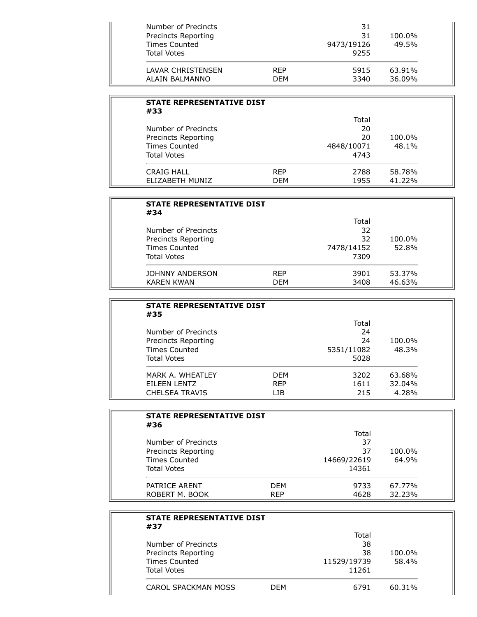| Number of Precincts<br>Precincts Reporting<br><b>Times Counted</b><br>Total Votes |            | 31<br>31<br>9473/19126<br>9255 | 100.0%<br>49.5% |
|-----------------------------------------------------------------------------------|------------|--------------------------------|-----------------|
| LAVAR CHRISTENSEN                                                                 | <b>RFP</b> | 5915                           | 63.91%          |
| ALAIN BALMANNO                                                                    | <b>DEM</b> | 3340                           | 36.09%          |

| <b>STATE REPRESENTATIVE DIST</b><br>#33 |            |            |        |
|-----------------------------------------|------------|------------|--------|
|                                         |            | Total      |        |
| Number of Precincts                     |            | 20         |        |
| Precincts Reporting                     |            | 20         | 100.0% |
| Times Counted                           |            | 4848/10071 | 48.1%  |
| <b>Total Votes</b>                      |            | 4743       |        |
| CRAIG HALL                              | <b>RFP</b> | 2788       | 58.78% |
| ELIZABETH MUNIZ                         | <b>DFM</b> | 1955       | 41.22% |

| <b>STATE REPRESENTATIVE DIST</b><br>#34 |            |            |        |
|-----------------------------------------|------------|------------|--------|
|                                         |            | Total      |        |
| Number of Precincts                     |            | 32         |        |
| Precincts Reporting                     |            | 32         | 100.0% |
| <b>Times Counted</b>                    |            | 7478/14152 | 52.8%  |
| <b>Total Votes</b>                      |            | 7309       |        |
| JOHNNY ANDERSON                         | <b>RFP</b> | 3901       | 53.37% |
| <b>KARFN KWAN</b>                       | DFM        | 3408       | 46.63% |

| <b>STATE REPRESENTATIVE DIST</b><br>#35 |            |            |        |
|-----------------------------------------|------------|------------|--------|
|                                         |            | Total      |        |
| Number of Precincts                     |            | 24         |        |
| Precincts Reporting                     |            | 24         | 100.0% |
| <b>Times Counted</b>                    |            | 5351/11082 | 48.3%  |
| <b>Total Votes</b>                      |            | 5028       |        |
| MARK A. WHFATI FY                       | <b>DFM</b> | 3202       | 63.68% |
| EILEEN LENTZ                            | <b>REP</b> | 1611       | 32.04% |
| <b>CHELSEA TRAVIS</b>                   | I TB       | 215        | 4.28%  |

| <b>STATE REPRESENTATIVE DIST</b><br>#36 |            |             |        |
|-----------------------------------------|------------|-------------|--------|
|                                         |            | Total       |        |
| Number of Precincts                     |            | 37          |        |
| Precincts Reporting                     |            | 37          | 100.0% |
| <b>Times Counted</b>                    |            | 14669/22619 | 64.9%  |
| <b>Total Votes</b>                      |            | 14361       |        |
| PATRICE ARENT                           | <b>DFM</b> | 9733        | 67.77% |
| ROBERT M. BOOK                          | <b>REP</b> | 4628        | 32.23% |

| <b>STATE REPRESENTATIVE DIST</b><br>#37 |     |             |        |
|-----------------------------------------|-----|-------------|--------|
|                                         |     | Total       |        |
| Number of Precincts                     |     | 38          |        |
| Precincts Reporting                     |     | 38          | 100.0% |
| <b>Times Counted</b>                    |     | 11529/19739 | 58.4%  |
| <b>Total Votes</b>                      |     | 11261       |        |
| CAROL SPACKMAN MOSS                     | DFM | 6791        | 60.31% |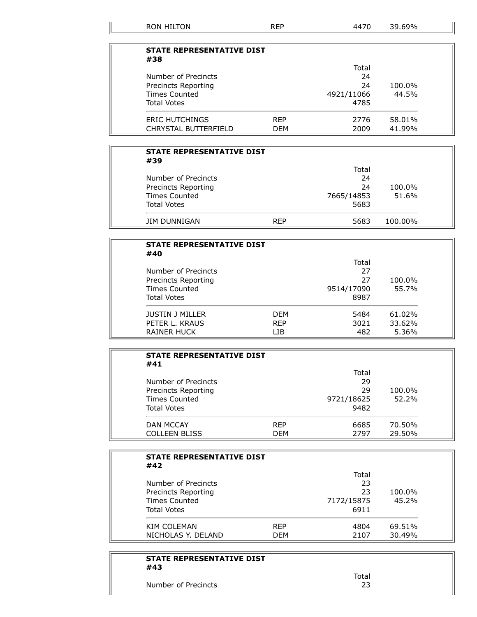| <b>RON HILTON</b>                | <b>REP</b> | 4470       | 39.69% |  |
|----------------------------------|------------|------------|--------|--|
|                                  |            |            |        |  |
| <b>STATE REPRESENTATIVE DIST</b> |            |            |        |  |
| #38                              |            | Total      |        |  |
| Number of Precincts              |            | 24         |        |  |
| Precincts Reporting              |            | 24         | 100.0% |  |
| <b>Times Counted</b>             |            | 4921/11066 | 44.5%  |  |
| <b>Total Votes</b>               |            | 4785       |        |  |
| <b>ERIC HUTCHINGS</b>            | <b>REP</b> | 2776       | 58.01% |  |
| <b>CHRYSTAL BUTTERFIELD</b>      | DEM        | 2009       | 41.99% |  |

| <b>STATE REPRESENTATIVE DIST</b><br>#39 |            |            |         |  |
|-----------------------------------------|------------|------------|---------|--|
|                                         |            | Total      |         |  |
| Number of Precincts                     |            | 24         |         |  |
| Precincts Reporting                     |            | 24         | 100.0%  |  |
| <b>Times Counted</b>                    |            | 7665/14853 | 51.6%   |  |
| <b>Total Votes</b>                      |            | 5683       |         |  |
| JIM DUNNIGAN                            | <b>RFP</b> | 5683       | 100.00% |  |

| <b>STATE REPRESENTATIVE DIST</b><br>#40 |            |            |        |
|-----------------------------------------|------------|------------|--------|
|                                         |            | Total      |        |
| Number of Precincts                     |            | 27         |        |
| Precincts Reporting<br>Times Counted    |            | 27         | 100.0% |
|                                         |            | 9514/17090 | 55.7%  |
| <b>Total Votes</b>                      |            | 8987       |        |
| <b>JUSTIN J MILLER</b>                  | <b>DFM</b> | 5484       | 61.02% |
| PETER L. KRAUS                          | <b>RFP</b> | 3021       | 33.62% |
| RAINER HUCK                             | I TB       | 482        | 5.36%  |

| <b>STATE REPRESENTATIVE DIST</b><br>#41 |            |            |        |
|-----------------------------------------|------------|------------|--------|
|                                         |            | Total      |        |
| Number of Precincts                     |            | 29         |        |
| Precincts Reporting                     |            | 29         | 100.0% |
| <b>Times Counted</b>                    |            | 9721/18625 | 52.2%  |
| <b>Total Votes</b>                      |            | 9482       |        |
| <b>DAN MCCAY</b>                        | <b>RFP</b> | 6685       | 70.50% |
| <b>COLLEEN BLISS</b>                    | DEM        | 2797       | 29.50% |

| <b>STATE REPRESENTATIVE DIST</b><br>#42 |            |            |        |
|-----------------------------------------|------------|------------|--------|
|                                         |            | Total      |        |
| Number of Precincts                     |            | 23         |        |
| Precincts Reporting                     |            | 23         | 100.0% |
| Times Counted                           |            | 7172/15875 | 45.2%  |
| <b>Total Votes</b>                      |            | 6911       |        |
| KIM COLEMAN                             | <b>RFP</b> | 4804       | 69.51% |
| NICHOLAS Y. DELAND                      | <b>DEM</b> | 2107       | 30.49% |

# **STATE REPRESENTATIVE DIST #43**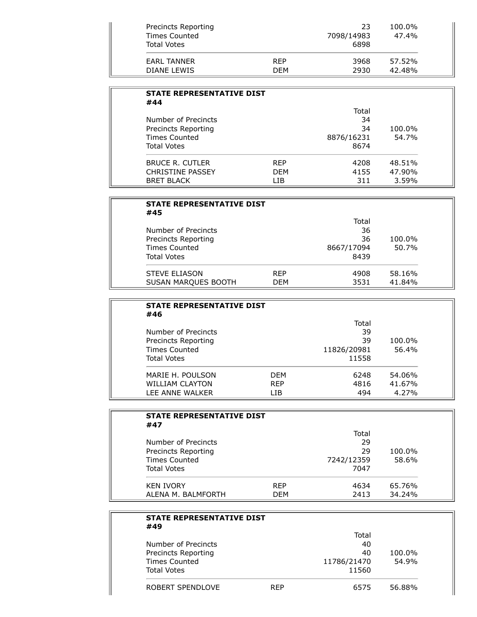| <b>STATE REPRESENTATIVE DIST</b><br>#44 |            |            |        |
|-----------------------------------------|------------|------------|--------|
|                                         |            | Total      |        |
| Number of Precincts                     |            | 34         |        |
| Precincts Reporting                     |            | 34         | 100.0% |
| Times Counted                           |            | 8876/16231 | 54.7%  |
| <b>Total Votes</b>                      |            | 8674       |        |
| <b>BRUCE R. CUTLER</b>                  | <b>RFP</b> | 4208       | 48.51% |
| <b>CHRISTINE PASSEY</b>                 | <b>DFM</b> | 4155       | 47.90% |
| <b>BRET BLACK</b>                       | I TB       | 311        | 3.59%  |

| <b>STATE REPRESENTATIVE DIST</b><br>#45 |            |            |        |
|-----------------------------------------|------------|------------|--------|
|                                         |            | Total      |        |
| Number of Precincts                     |            | 36         |        |
| Precincts Reporting                     |            | 36         | 100.0% |
| Times Counted                           |            | 8667/17094 | 50.7%  |
| <b>Total Votes</b>                      |            | 8439       |        |
| <b>STEVE ELIASON</b>                    | <b>RFP</b> | 4908       | 58.16% |
| <b>SUSAN MARQUES BOOTH</b>              | DFM        | 3531       | 41.84% |

| <b>STATE REPRESENTATIVE DIST</b><br>#46 |            |             |        |
|-----------------------------------------|------------|-------------|--------|
|                                         |            | Total       |        |
| Number of Precincts                     |            | 39          |        |
| Precincts Reporting                     |            | 39          | 100.0% |
| <b>Times Counted</b>                    |            | 11826/20981 | 56.4%  |
| <b>Total Votes</b>                      |            | 11558       |        |
| MARIE H. POULSON                        | <b>DFM</b> | 6248        | 54.06% |
| <b>WILLIAM CLAYTON</b>                  | <b>RFP</b> | 4816        | 41.67% |
| LEE ANNE WALKER                         | I TB       | 494         | 4.27%  |

| <b>STATE REPRESENTATIVE DIST</b><br>#47 |            |            |        |
|-----------------------------------------|------------|------------|--------|
|                                         |            | Total      |        |
| Number of Precincts                     |            | 29         |        |
| Precincts Reporting                     |            | 29         | 100.0% |
| Times Counted                           |            | 7242/12359 | 58.6%  |
| <b>Total Votes</b>                      |            | 7047       |        |
| <b>KEN IVORY</b>                        | <b>RFP</b> | 4634       | 65.76% |
| ALENA M. BALMFORTH                      | DEM        | 2413       | 34.24% |

| <b>STATE REPRESENTATIVE DIST</b><br>#49 |            |             |        |
|-----------------------------------------|------------|-------------|--------|
|                                         |            | Total       |        |
| Number of Precincts                     |            | 40          |        |
| Precincts Reporting                     |            | 40          | 100.0% |
| <b>Times Counted</b>                    |            | 11786/21470 | 54.9%  |
| <b>Total Votes</b>                      |            | 11560       |        |
| ROBERT SPENDLOVE                        | <b>REP</b> | 6575        | 56.88% |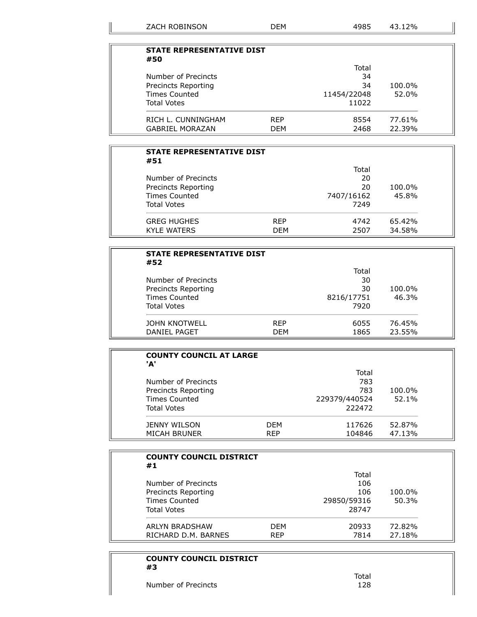| <b>STATE REPRESENTATIVE DIST</b> |            |             |        |
|----------------------------------|------------|-------------|--------|
| #50                              |            |             |        |
|                                  |            | Total       |        |
| Number of Precincts              |            | 34          |        |
| Precincts Reporting              |            | 34          | 100.0% |
| Times Counted                    |            | 11454/22048 | 52.0%  |
| <b>Total Votes</b>               |            | 11022       |        |
| RICH L. CUNNINGHAM               | <b>REP</b> | 8554        | 77.61% |
| <b>GABRIEL MORAZAN</b>           | <b>DEM</b> | 2468        | 22.39% |

| <b>STATE REPRESENTATIVE DIST</b><br>#52                            |            |            |        |
|--------------------------------------------------------------------|------------|------------|--------|
|                                                                    |            | Total      |        |
| Number of Precincts<br>Precincts Reporting<br><b>Times Counted</b> |            | 30         |        |
|                                                                    |            | 30         | 100.0% |
|                                                                    |            | 8216/17751 | 46.3%  |
| <b>Total Votes</b>                                                 |            | 7920       |        |
| JOHN KNOTWELL                                                      | <b>RFP</b> | 6055       | 76.45% |
| DANIEL PAGET                                                       | <b>DFM</b> | 1865       | 23.55% |

| <b>COUNTY COUNCIL AT LARGE</b><br>'A' |            |               |        |
|---------------------------------------|------------|---------------|--------|
|                                       |            | Total         |        |
| Number of Precincts                   |            | 783           |        |
| Precincts Reporting                   |            | 783           | 100.0% |
| Times Counted                         |            | 229379/440524 | 52.1%  |
| <b>Total Votes</b>                    |            | 222472        |        |
| JENNY WILSON                          | <b>DFM</b> | 117626        | 52.87% |
| <b>MICAH BRUNER</b>                   | <b>REP</b> | 104846        | 47.13% |

| <b>COUNTY COUNCIL DISTRICT</b><br>#1 |            |             |        |
|--------------------------------------|------------|-------------|--------|
|                                      |            | Total       |        |
| Number of Precincts                  |            | 106         |        |
| Precincts Reporting                  |            | 106         | 100.0% |
| <b>Times Counted</b>                 |            | 29850/59316 | 50.3%  |
| <b>Total Votes</b>                   |            | 28747       |        |
| ARLYN BRADSHAW                       | <b>DFM</b> | 20933       | 72.82% |
| RICHARD D.M. BARNES                  | <b>REP</b> | 7814        | 27.18% |

# **COUNTY COUNCIL DISTRICT #3** Number of Precincts 128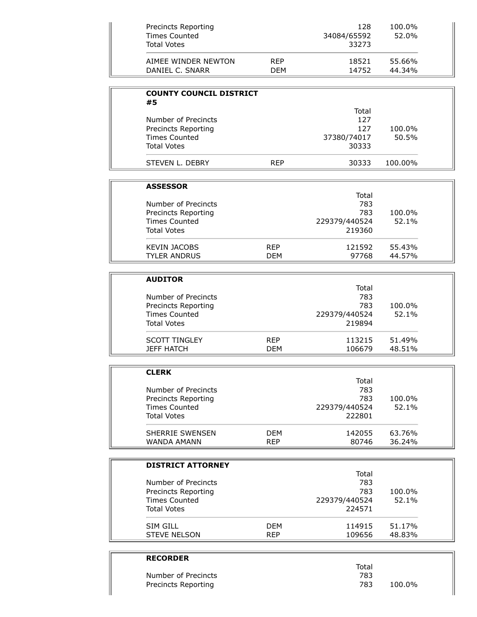| Precincts Reporting<br><b>Times Counted</b><br><b>Total Votes</b> |            | 128<br>34084/65592<br>33273 | 100.0%<br>52.0% |
|-------------------------------------------------------------------|------------|-----------------------------|-----------------|
| AIMEE WINDER NEWTON                                               | <b>RFP</b> | 18521                       | 55.66%          |
| DANIEL C. SNARR                                                   | DFM        | 14752                       | 44.34%          |

| <b>COUNTY COUNCIL DISTRICT</b><br>#5 |            |             |         |  |
|--------------------------------------|------------|-------------|---------|--|
|                                      |            | Total       |         |  |
| Number of Precincts                  |            | 127         |         |  |
| Precincts Reporting                  |            | 127         | 100.0%  |  |
| <b>Times Counted</b>                 |            | 37380/74017 | 50.5%   |  |
| <b>Total Votes</b>                   |            | 30333       |         |  |
| STEVEN L. DEBRY                      | <b>RFP</b> | 30333       | 100.00% |  |

| <b>ASSESSOR</b>      |            |               |        |
|----------------------|------------|---------------|--------|
|                      |            | Total         |        |
| Number of Precincts  |            | 783           |        |
| Precincts Reporting  |            | 783           | 100.0% |
| <b>Times Counted</b> |            | 229379/440524 | 52.1%  |
| <b>Total Votes</b>   |            | 219360        |        |
| <b>KEVIN JACOBS</b>  | <b>RFP</b> | 121592        | 55.43% |
| <b>TYLER ANDRUS</b>  | DFM        | 97768         | 44.57% |

| <b>AUDITOR</b>       |            |               |        |
|----------------------|------------|---------------|--------|
|                      |            | Total         |        |
| Number of Precincts  |            | 783           |        |
| Precincts Reporting  |            | 783           | 100.0% |
| <b>Times Counted</b> |            | 229379/440524 | 52.1%  |
| <b>Total Votes</b>   |            | 219894        |        |
| <b>SCOTT TINGLEY</b> | <b>RFP</b> | 113215        | 51.49% |
| <b>JEFF HATCH</b>    | <b>DFM</b> | 106679        | 48.51% |

| <b>CLERK</b>           |            |               |        |
|------------------------|------------|---------------|--------|
|                        |            | Total         |        |
| Number of Precincts    |            | 783           |        |
| Precincts Reporting    |            | 783           | 100.0% |
| <b>Times Counted</b>   |            | 229379/440524 | 52.1%  |
| <b>Total Votes</b>     |            | 222801        |        |
| <b>SHERRIE SWENSEN</b> | <b>DFM</b> | 142055        | 63.76% |
| WANDA AMANN            | <b>RFP</b> | 80746         | 36.24% |

| <b>DISTRICT ATTORNEY</b> |            |               |        |
|--------------------------|------------|---------------|--------|
|                          |            | Total         |        |
| Number of Precincts      |            | 783           |        |
| Precincts Reporting      |            | 783           | 100.0% |
| <b>Times Counted</b>     |            | 229379/440524 | 52.1%  |
| <b>Total Votes</b>       |            | 224571        |        |
| SIM GILL                 | <b>DFM</b> | 114915        | 51.17% |
| <b>STEVE NELSON</b>      | <b>REP</b> | 109656        | 48.83% |

| <b>RECORDER</b>     |       |        |  |
|---------------------|-------|--------|--|
|                     | Total |        |  |
| Number of Precincts | 783   |        |  |
| Precincts Reporting | 783   | 100.0% |  |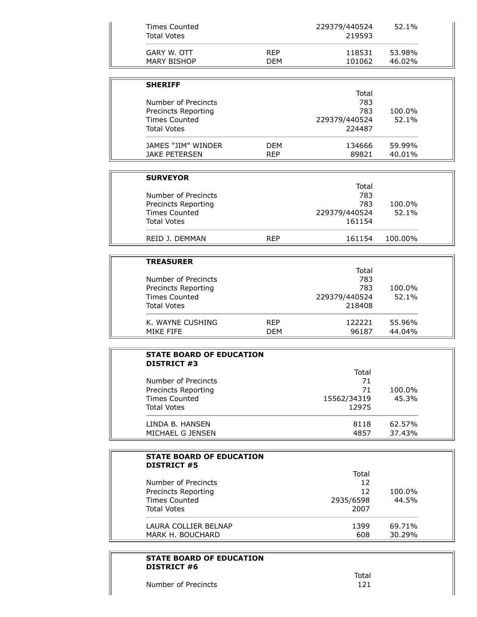| <b>Times Counted</b><br><b>Total Votes</b> |            | 229379/440524<br>219593 | 52.1%   |  |
|--------------------------------------------|------------|-------------------------|---------|--|
|                                            |            |                         |         |  |
| GARY W. OTT                                | <b>REP</b> | 118531                  | 53.98%  |  |
| <b>MARY BISHOP</b>                         | <b>DEM</b> | 101062                  | 46.02%  |  |
|                                            |            |                         |         |  |
| <b>SHERIFF</b>                             |            |                         |         |  |
|                                            |            | Total                   |         |  |
| Number of Precincts                        |            | 783                     |         |  |
| Precincts Reporting                        |            | 783                     | 100.0%  |  |
| <b>Times Counted</b>                       |            | 229379/440524           | 52.1%   |  |
| <b>Total Votes</b>                         |            | 224487                  |         |  |
| JAMES "JIM" WINDER                         | <b>DEM</b> | 134666                  | 59.99%  |  |
| <b>JAKE PETERSEN</b>                       | <b>REP</b> | 89821                   | 40.01%  |  |
|                                            |            |                         |         |  |
| <b>SURVEYOR</b>                            |            |                         |         |  |
|                                            |            | Total                   |         |  |
| Number of Precincts                        |            | 783                     |         |  |
| Precincts Reporting                        |            | 783                     | 100.0%  |  |
| <b>Times Counted</b>                       |            | 229379/440524           | 52.1%   |  |
| <b>Total Votes</b>                         |            | 161154                  |         |  |
| REID J. DEMMAN                             | <b>REP</b> | 161154                  | 100.00% |  |
|                                            |            |                         |         |  |
| <b>TREASURER</b>                           |            |                         |         |  |
|                                            |            | Total                   |         |  |
| Number of Precincts                        |            | 783                     |         |  |

| 783<br>Precincts Reporting<br>100.0%<br><b>Times Counted</b><br>229379/440524<br>52.1%<br><b>Total Votes</b><br>218408 |
|------------------------------------------------------------------------------------------------------------------------|
|------------------------------------------------------------------------------------------------------------------------|

| <b>STATE BOARD OF EDUCATION</b><br><b>DISTRICT #3</b> |             |        |
|-------------------------------------------------------|-------------|--------|
|                                                       | Total       |        |
| Number of Precincts                                   | 71          |        |
| Precincts Reporting                                   | 71          | 100.0% |
| <b>Times Counted</b>                                  | 15562/34319 | 45.3%  |
| <b>Total Votes</b>                                    | 12975       |        |
| LINDA B. HANSEN                                       | 8118        | 62.57% |
| MICHAEL G JENSEN                                      | 4857        | 37.43% |

| <b>STATE BOARD OF EDUCATION</b><br><b>DISTRICT #5</b> |           |        |
|-------------------------------------------------------|-----------|--------|
|                                                       | Total     |        |
| Number of Precincts                                   | 12        |        |
| Precincts Reporting                                   | 12        | 100.0% |
| Times Counted                                         | 2935/6598 | 44.5%  |
| <b>Total Votes</b>                                    | 2007      |        |
| LAURA COLLIER BELNAP                                  | 1399      | 69.71% |
| MARK H. BOUCHARD                                      | 608       | 30.29% |

# **STATE BOARD OF EDUCATION DISTRICT #6**

Number of Precincts 121

Ĩ.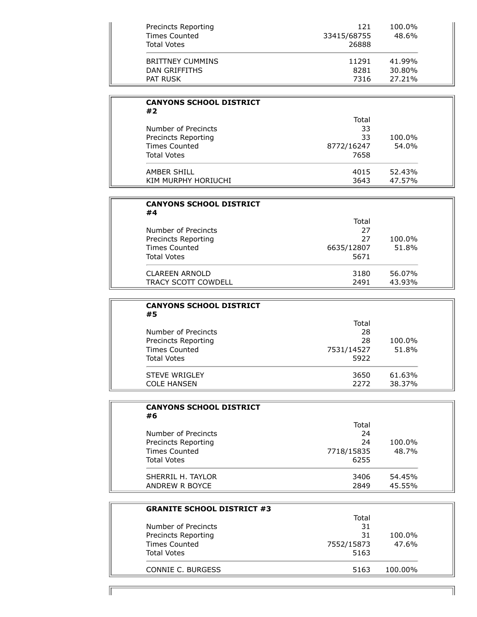| Precincts Reporting<br><b>Times Counted</b><br><b>Total Votes</b> | 121<br>33415/68755<br>26888 | 100.0%<br>48.6% |
|-------------------------------------------------------------------|-----------------------------|-----------------|
| <b>BRITTNEY CUMMINS</b>                                           | 11291                       | 41.99%          |
| DAN GRIFFITHS                                                     | 8281                        | 30.80%          |
| PAT RUSK                                                          | 7316                        | 27.21%          |

| <b>CANYONS SCHOOL DISTRICT</b><br>#2 |            |        |
|--------------------------------------|------------|--------|
|                                      | Total      |        |
| Number of Precincts                  | 33         |        |
| Precincts Reporting                  | 33         | 100.0% |
| <b>Times Counted</b>                 | 8772/16247 | 54.0%  |
| <b>Total Votes</b>                   | 7658       |        |
| AMBER SHILL                          | 4015       | 52.43% |
| KIM MURPHY HORIUCHI                  | 3643       | 47.57% |

| <b>CANYONS SCHOOL DISTRICT</b><br>#4 |            |        |
|--------------------------------------|------------|--------|
|                                      | Total      |        |
| Number of Precincts                  | 27         |        |
| Precincts Reporting                  | 27         | 100.0% |
| Times Counted                        | 6635/12807 | 51.8%  |
| Total Votes                          | 5671       |        |
| <b>CLAREEN ARNOLD</b>                | 3180       | 56.07% |
| TRACY SCOTT COWDELL                  | 2491       | 43.93% |

| <b>CANYONS SCHOOL DISTRICT</b><br>#5 |            |        |
|--------------------------------------|------------|--------|
|                                      | Total      |        |
| Number of Precincts                  | 28         |        |
| Precincts Reporting                  | 28         | 100.0% |
| Times Counted                        | 7531/14527 | 51.8%  |
| <b>Total Votes</b>                   | 5922       |        |
| <b>STEVE WRIGLEY</b>                 | 3650       | 61.63% |
| <b>COLE HANSEN</b>                   | 2272       | 38.37% |

| <b>CANYONS SCHOOL DISTRICT</b><br>#6 |            |        |
|--------------------------------------|------------|--------|
|                                      | Total      |        |
| Number of Precincts                  | 24         |        |
| Precincts Reporting                  | 24         | 100.0% |
| <b>Times Counted</b>                 | 7718/15835 | 48.7%  |
| <b>Total Votes</b>                   | 6255       |        |
| SHERRIL H. TAYLOR                    | 3406       | 54.45% |
| ANDREW R BOYCE                       | 2849       | 45.55% |

| Total      |         |
|------------|---------|
| 31         |         |
| 31         | 100.0%  |
| 7552/15873 | 47.6%   |
| 5163       |         |
| 5163       | 100.00% |
|            |         |

11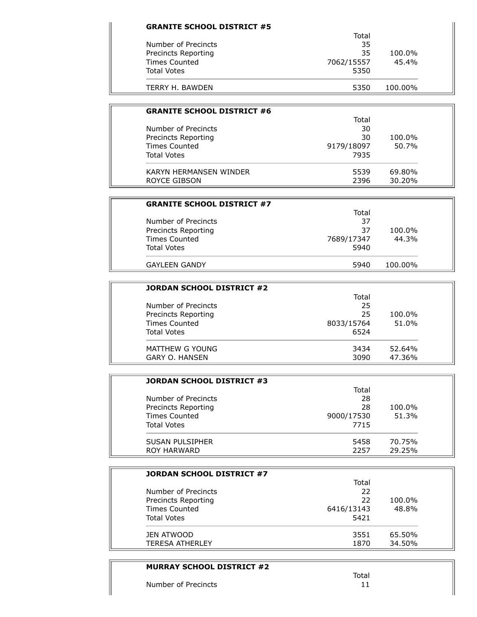| Total      |         |
|------------|---------|
| 35         |         |
| 35         | 100.0%  |
| 7062/15557 | 45.4%   |
| 5350       |         |
| 5350       | 100.00% |
|            |         |

| <b>GRANITE SCHOOL DISTRICT #6</b> |            |        |
|-----------------------------------|------------|--------|
|                                   | Total      |        |
| Number of Precincts               | 30         |        |
| Precincts Reporting               | 30         | 100.0% |
| <b>Times Counted</b>              | 9179/18097 | 50.7%  |
| <b>Total Votes</b>                | 7935       |        |
| KARYN HFRMANSFN WINDFR            | 5539       | 69.80% |
| ROYCE GIBSON                      | 2396       | 30.20% |

| <b>GRANITE SCHOOL DISTRICT #7</b> |            |         |
|-----------------------------------|------------|---------|
|                                   | Total      |         |
| Number of Precincts               | 37         |         |
| Precincts Reporting               | 37         | 100.0%  |
| <b>Times Counted</b>              | 7689/17347 | 44.3%   |
| <b>Total Votes</b>                | 5940       |         |
| <b>GAYLEEN GANDY</b>              | 5940       | 100.00% |

| JORDAN SCHOOL DISTRICT #2 |            |        |
|---------------------------|------------|--------|
|                           | Total      |        |
| Number of Precincts       | 25         |        |
| Precincts Reporting       | 25         | 100.0% |
| <b>Times Counted</b>      | 8033/15764 | 51.0%  |
| <b>Total Votes</b>        | 6524       |        |
| MATTHEW G YOUNG           | 3434       | 52.64% |
| <b>GARY O. HANSEN</b>     | 3090       | 47.36% |

| JORDAN SCHOOL DISTRICT #3 |            |        |
|---------------------------|------------|--------|
|                           | Total      |        |
| Number of Precincts       | 28         |        |
| Precincts Reporting       | 28         | 100.0% |
| Times Counted             | 9000/17530 | 51.3%  |
| <b>Total Votes</b>        | 7715       |        |
| SUSAN PULSIPHER           | 5458       | 70.75% |
| ROY HARWARD               | 2257       | 29.25% |

| JORDAN SCHOOL DISTRICT #7 |            |        |  |
|---------------------------|------------|--------|--|
|                           | Total      |        |  |
| Number of Precincts       | 22         |        |  |
| Precincts Reporting       | 22         | 100.0% |  |
| Times Counted             | 6416/13143 | 48.8%  |  |
| <b>Total Votes</b>        | 5421       |        |  |
| JEN ATWOOD                | 3551       | 65.50% |  |
| <b>TERESA ATHERLEY</b>    | 1870       | 34.50% |  |

# **MURRAY SCHOOL DISTRICT #2** Total Number of Precincts 11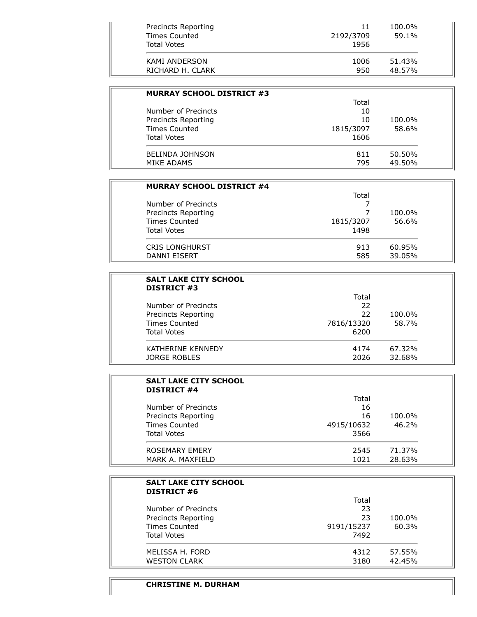| Precincts Reporting<br>Times Counted<br><b>Total Votes</b> | 11<br>2192/3709<br>1956 | 100.0%<br>59.1% |
|------------------------------------------------------------|-------------------------|-----------------|
| KAMI ANDERSON                                              | 1006                    | 51.43%          |
| RICHARD H. CLARK                                           | 950                     | 48.57%          |

| <b>MURRAY SCHOOL DISTRICT #3</b> |           |        |
|----------------------------------|-----------|--------|
|                                  | Total     |        |
| Number of Precincts              | 10        |        |
| Precincts Reporting              | 10        | 100.0% |
| <b>Times Counted</b>             | 1815/3097 | 58.6%  |
| <b>Total Votes</b>               | 1606      |        |
| <b>BELINDA JOHNSON</b>           | 811       | 50.50% |
| MIKE ADAMS                       | 795       | 49.50% |

| <b>MURRAY SCHOOL DISTRICT #4</b> |           |        |
|----------------------------------|-----------|--------|
|                                  | Total     |        |
| Number of Precincts              |           |        |
| Precincts Reporting              |           | 100.0% |
| <b>Times Counted</b>             | 1815/3207 | 56.6%  |
| <b>Total Votes</b>               | 1498      |        |
| <b>CRIS LONGHURST</b>            | 913       | 60.95% |
| <b>DANNI EISERT</b>              | 585       | 39.05% |

| <b>SALT LAKE CITY SCHOOL</b><br><b>DISTRICT #3</b> |            |        |
|----------------------------------------------------|------------|--------|
|                                                    | Total      |        |
| Number of Precincts                                | 22         |        |
| Precincts Reporting                                | 22         | 100.0% |
| <b>Times Counted</b>                               | 7816/13320 | 58.7%  |
| <b>Total Votes</b>                                 | 6200       |        |
| KATHERINE KENNEDY                                  | 4174       | 67.32% |
| JORGE ROBLES                                       | 2026       | 32.68% |

| <b>SALT LAKE CITY SCHOOL</b><br><b>DISTRICT #4</b> |            |        |
|----------------------------------------------------|------------|--------|
|                                                    | Total      |        |
| Number of Precincts                                | 16         |        |
| Precincts Reporting                                | 16         | 100.0% |
| Times Counted                                      | 4915/10632 | 46.2%  |
| <b>Total Votes</b>                                 | 3566       |        |
| ROSEMARY EMERY                                     | 2545       | 71.37% |
| MARK A. MAXFIELD                                   | 1021       | 28.63% |

| <b>SALT LAKE CITY SCHOOL</b><br><b>DISTRICT #6</b> |            |        |
|----------------------------------------------------|------------|--------|
|                                                    | Total      |        |
| Number of Precincts                                | 23         |        |
| Precincts Reporting                                | 23         | 100.0% |
| Times Counted                                      | 9191/15237 | 60.3%  |
| <b>Total Votes</b>                                 | 7492       |        |
| MELISSA H. FORD                                    | 4312       | 57.55% |
| <b>WESTON CLARK</b>                                | 3180       | 42.45% |

## **CHRISTINE M. DURHAM**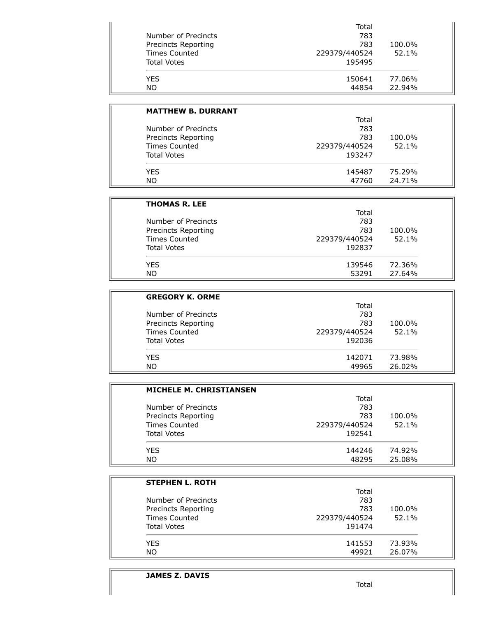| 783<br>783<br>229379/440524 | 100.0%<br>52.1% |
|-----------------------------|-----------------|
|                             |                 |
|                             |                 |
|                             |                 |
| 195495                      |                 |
| 150641                      | 77.06%          |
| 44854                       | 22.94%          |
|                             |                 |

| <b>MATTHEW B. DURRANT</b> |               |        |
|---------------------------|---------------|--------|
|                           | Total         |        |
| Number of Precincts       | 783           |        |
| Precincts Reporting       | 783           | 100.0% |
| <b>Times Counted</b>      | 229379/440524 | 52.1%  |
| <b>Total Votes</b>        | 193247        |        |
| <b>YFS</b>                | 145487        | 75.29% |
| <b>NO</b>                 | 47760         | 24.71% |

| <b>THOMAS R. LEE</b> |               |        |
|----------------------|---------------|--------|
|                      | Total         |        |
| Number of Precincts  | 783           |        |
| Precincts Reporting  | 783           | 100.0% |
| <b>Times Counted</b> | 229379/440524 | 52.1%  |
| <b>Total Votes</b>   | 192837        |        |
| <b>YES</b>           | 139546        | 72.36% |
| <b>NO</b>            | 53291         | 27.64% |

| <b>GREGORY K. ORME</b> |               |        |
|------------------------|---------------|--------|
|                        | Total         |        |
| Number of Precincts    | 783           |        |
| Precincts Reporting    | 783           | 100.0% |
| Times Counted          | 229379/440524 | 52.1%  |
| <b>Total Votes</b>     | 192036        |        |
| <b>YES</b>             | 142071        | 73.98% |
| <b>NO</b>              | 49965         | 26.02% |

| <b>MICHELE M. CHRISTIANSEN</b> |               |        |
|--------------------------------|---------------|--------|
|                                | Total         |        |
| Number of Precincts            | 783           |        |
| Precincts Reporting            | 783           | 100.0% |
| <b>Times Counted</b>           | 229379/440524 | 52.1%  |
| <b>Total Votes</b>             | 192541        |        |
| <b>YFS</b>                     | 144246        | 74.92% |
| NO.                            | 48295         | 25.08% |

| <b>STEPHEN L. ROTH</b> |               |        |
|------------------------|---------------|--------|
|                        | Total         |        |
| Number of Precincts    | 783           |        |
| Precincts Reporting    | 783           | 100.0% |
| <b>Times Counted</b>   | 229379/440524 | 52.1%  |
| <b>Total Votes</b>     | 191474        |        |
| <b>YES</b>             | 141553        | 73.93% |
| NO.                    | 49921         | 26.07% |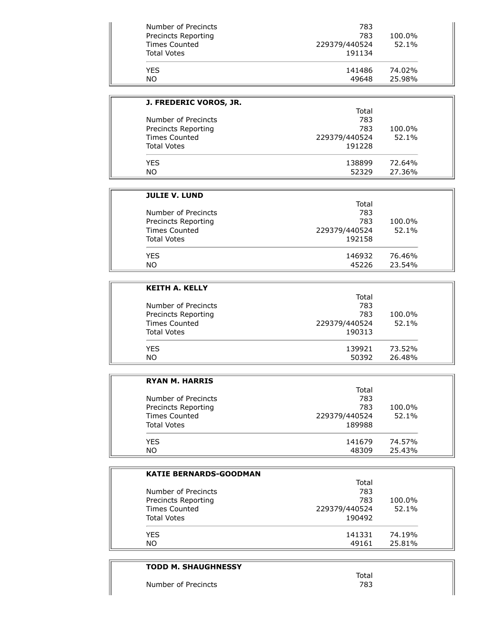| Number of Precincts<br>Precincts Reporting<br>Times Counted<br><b>Total Votes</b> | 783<br>783<br>229379/440524<br>191134 | 100.0%<br>52.1% |
|-----------------------------------------------------------------------------------|---------------------------------------|-----------------|
| YFS.                                                                              | 141486                                | 74.02%          |
| <b>NO</b>                                                                         | 49648                                 | 25.98%          |

| J. FREDERIC VOROS, JR. |               |        |
|------------------------|---------------|--------|
|                        | Total         |        |
| Number of Precincts    | 783           |        |
| Precincts Reporting    | 783           | 100.0% |
| <b>Times Counted</b>   | 229379/440524 | 52.1%  |
| <b>Total Votes</b>     | 191228        |        |
| YES.                   | 138899        | 72.64% |
| NO.                    | 52329         | 27.36% |

| <b>JULIE V. LUND</b> |               |        |
|----------------------|---------------|--------|
|                      | Total         |        |
| Number of Precincts  | 783           |        |
| Precincts Reporting  | 783           | 100.0% |
| <b>Times Counted</b> | 229379/440524 | 52.1%  |
| <b>Total Votes</b>   | 192158        |        |
| <b>YFS</b>           | 146932        | 76.46% |
| NO.                  | 45226         | 23.54% |

| <b>KEITH A. KELLY</b> |               |        |  |
|-----------------------|---------------|--------|--|
|                       | Total         |        |  |
| Number of Precincts   | 783           |        |  |
| Precincts Reporting   | 783           | 100.0% |  |
| <b>Times Counted</b>  | 229379/440524 | 52.1%  |  |
| <b>Total Votes</b>    | 190313        |        |  |
| YFS.                  | 139921        | 73.52% |  |
| <b>NO</b>             | 50392         | 26.48% |  |

| <b>RYAN M. HARRIS</b> |               |        |
|-----------------------|---------------|--------|
|                       | Total         |        |
| Number of Precincts   | 783           |        |
| Precincts Reporting   | 783           | 100.0% |
| <b>Times Counted</b>  | 229379/440524 | 52.1%  |
| <b>Total Votes</b>    | 189988        |        |
| <b>YES</b>            | 141679        | 74.57% |
| NO                    | 48309         | 25.43% |

| <b>KATIE BERNARDS-GOODMAN</b> |               |        |
|-------------------------------|---------------|--------|
|                               | Total         |        |
| Number of Precincts           | 783           |        |
| Precincts Reporting           | 783           | 100.0% |
| <b>Times Counted</b>          | 229379/440524 | 52.1%  |
| <b>Total Votes</b>            | 190492        |        |
| YES.                          | 141331        | 74.19% |
| NO.                           | 49161         | 25.81% |

# **TODD M. SHAUGHNESSY** Total<br>783 Number of Precincts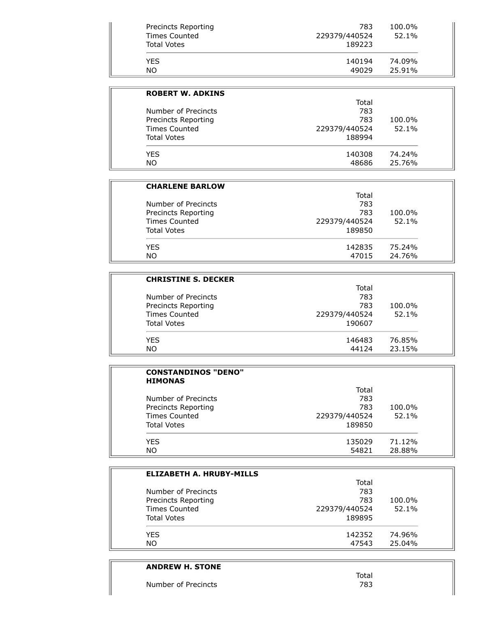| <b>NO</b>           | 49029         | 25.91% |
|---------------------|---------------|--------|
| <b>YFS</b>          | 140194        | 74.09% |
| <b>Total Votes</b>  | 189223        |        |
| Times Counted       | 229379/440524 | 52.1%  |
| Precincts Reporting | 783           | 100.0% |

| <b>ROBERT W. ADKINS</b> |               |        |
|-------------------------|---------------|--------|
|                         | Total         |        |
| Number of Precincts     | 783           |        |
| Precincts Reporting     | 783           | 100.0% |
| Times Counted           | 229379/440524 | 52.1%  |
| <b>Total Votes</b>      | 188994        |        |
| <b>YES</b>              | 140308        | 74.24% |
| <b>NO</b>               | 48686         | 25.76% |

| <b>CHARLENE BARLOW</b> |               |        |
|------------------------|---------------|--------|
|                        | Total         |        |
| Number of Precincts    | 783           |        |
| Precincts Reporting    | 783           | 100.0% |
| Times Counted          | 229379/440524 | 52.1%  |
| <b>Total Votes</b>     | 189850        |        |
| <b>YFS</b>             | 142835        | 75.24% |
| <b>NO</b>              | 47015         | 24.76% |

| <b>CHRISTINE S. DECKER</b> |               |        |
|----------------------------|---------------|--------|
|                            | Total         |        |
| Number of Precincts        | 783           |        |
| Precincts Reporting        | 783           | 100.0% |
| <b>Times Counted</b>       | 229379/440524 | 52.1%  |
| <b>Total Votes</b>         | 190607        |        |
| <b>YES</b>                 | 146483        | 76.85% |
| NO.                        | 44124         | 23.15% |

| <b>CONSTANDINOS "DENO"</b><br><b>HIMONAS</b> |               |        |
|----------------------------------------------|---------------|--------|
|                                              | Total         |        |
| Number of Precincts                          | 783           |        |
| <b>Precincts Reporting</b>                   | 783           | 100.0% |
| Times Counted                                | 229379/440524 | 52.1%  |
| <b>Total Votes</b>                           | 189850        |        |
| YES.                                         | 135029        | 71.12% |
| NO.                                          | 54821         | 28.88% |

| <b>ELIZABETH A. HRUBY-MILLS</b> |               |        |
|---------------------------------|---------------|--------|
|                                 | Total         |        |
| Number of Precincts             | 783           |        |
| Precincts Reporting             | 783           | 100.0% |
| <b>Times Counted</b>            | 229379/440524 | 52.1%  |
| <b>Total Votes</b>              | 189895        |        |
| YES.                            | 142352        | 74.96% |
| NO.                             | 47543         | 25.04% |

# **ANDREW H. STONE** Number of Precincts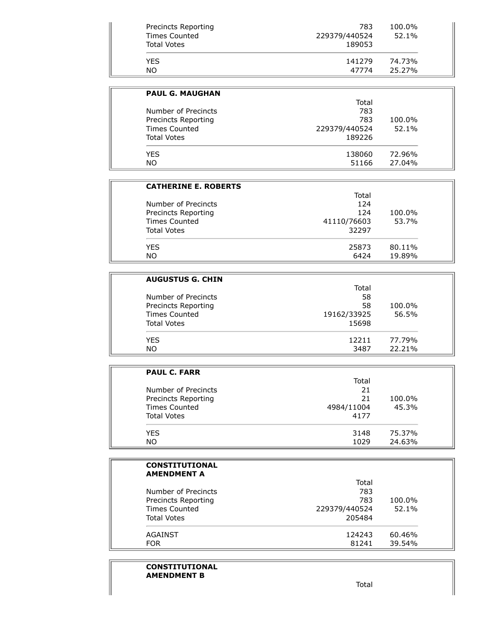| Precincts Reporting<br><b>Times Counted</b><br>Total Votes | 783<br>229379/440524<br>189053 | 100.0%<br>52.1% |
|------------------------------------------------------------|--------------------------------|-----------------|
| <b>YES</b>                                                 | 141279                         | 74.73%          |
| NO.                                                        | 47774                          | 25.27%          |

| <b>PAUL G. MAUGHAN</b> |               |        |
|------------------------|---------------|--------|
|                        | Total         |        |
| Number of Precincts    | 783           |        |
| Precincts Reporting    | 783           | 100.0% |
| Times Counted          | 229379/440524 | 52.1%  |
| <b>Total Votes</b>     | 189226        |        |
| <b>YES</b>             | 138060        | 72.96% |
| NO.                    | 51166         | 27.04% |

| <b>CATHERINE E. ROBERTS</b> |             |        |
|-----------------------------|-------------|--------|
|                             | Total       |        |
| Number of Precincts         | 124         |        |
| Precincts Reporting         | 124         | 100.0% |
| <b>Times Counted</b>        | 41110/76603 | 53.7%  |
| <b>Total Votes</b>          | 32297       |        |
| <b>YFS</b>                  | 25873       | 80.11% |
| <b>NO</b>                   | 6424        | 19.89% |

| <b>AUGUSTUS G. CHIN</b> |             |        |
|-------------------------|-------------|--------|
|                         | Total       |        |
| Number of Precincts     | 58          |        |
| Precincts Reporting     | 58          | 100.0% |
| <b>Times Counted</b>    | 19162/33925 | 56.5%  |
| <b>Total Votes</b>      | 15698       |        |
| YES                     | 12211       | 77.79% |
| NO.                     | 3487        | 22.21% |

| <b>PAUL C. FARR</b>  |            |        |
|----------------------|------------|--------|
|                      | Total      |        |
| Number of Precincts  | 21         |        |
| Precincts Reporting  | 21         | 100.0% |
| <b>Times Counted</b> | 4984/11004 | 45.3%  |
| <b>Total Votes</b>   | 4177       |        |
| YES                  | 3148       | 75.37% |
| <b>NO</b>            | 1029       | 24.63% |

| <b>CONSTITUTIONAL</b><br><b>AMENDMENT A</b> |               |        |
|---------------------------------------------|---------------|--------|
|                                             | Total         |        |
| Number of Precincts                         | 783           |        |
| Precincts Reporting                         | 783           | 100.0% |
| Times Counted                               | 229379/440524 | 52.1%  |
| <b>Total Votes</b>                          | 205484        |        |
| AGAINST                                     | 124243        | 60.46% |
| <b>FOR</b>                                  | 81241         | 39.54% |

## **CONSTITUTIONAL AMENDMENT B**